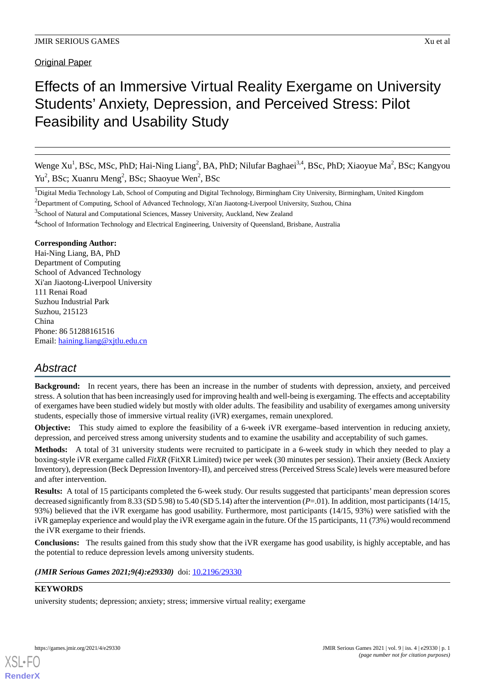**Original Paper** 

# Effects of an Immersive Virtual Reality Exergame on University Students' Anxiety, Depression, and Perceived Stress: Pilot Feasibility and Usability Study

Wenge Xu<sup>1</sup>, BSc, MSc, PhD; Hai-Ning Liang<sup>2</sup>, BA, PhD; Nilufar Baghaei<sup>3,4</sup>, BSc, PhD; Xiaoyue Ma<sup>2</sup>, BSc; Kangyou Yu<sup>2</sup>, BSc; Xuanru Meng<sup>2</sup>, BSc; Shaoyue Wen<sup>2</sup>, BSc

<sup>1</sup>Digital Media Technology Lab, School of Computing and Digital Technology, Birmingham City University, Birmingham, United Kingdom

<sup>2</sup>Department of Computing, School of Advanced Technology, Xi'an Jiaotong-Liverpool University, Suzhou, China

<sup>3</sup>School of Natural and Computational Sciences, Massey University, Auckland, New Zealand

<sup>4</sup>School of Information Technology and Electrical Engineering, University of Queensland, Brisbane, Australia

# **Corresponding Author:**

Hai-Ning Liang, BA, PhD Department of Computing School of Advanced Technology Xi'an Jiaotong-Liverpool University 111 Renai Road Suzhou Industrial Park Suzhou, 215123 China Phone: 86 51288161516 Email: [haining.liang@xjtlu.edu.cn](mailto:haining.liang@xjtlu.edu.cn)

# *Abstract*

**Background:** In recent years, there has been an increase in the number of students with depression, anxiety, and perceived stress. A solution that has been increasingly used for improving health and well-being is exergaming. The effects and acceptability of exergames have been studied widely but mostly with older adults. The feasibility and usability of exergames among university students, especially those of immersive virtual reality (iVR) exergames, remain unexplored.

**Objective:** This study aimed to explore the feasibility of a 6-week iVR exergame–based intervention in reducing anxiety, depression, and perceived stress among university students and to examine the usability and acceptability of such games.

**Methods:** A total of 31 university students were recruited to participate in a 6-week study in which they needed to play a boxing-style iVR exergame called *FitXR* (FitXR Limited) twice per week (30 minutes per session). Their anxiety (Beck Anxiety Inventory), depression (Beck Depression Inventory-II), and perceived stress (Perceived Stress Scale) levels were measured before and after intervention.

**Results:** A total of 15 participants completed the 6-week study. Our results suggested that participants' mean depression scores decreased significantly from 8.33 (SD 5.98) to 5.40 (SD 5.14) after the intervention (*P*=.01). In addition, most participants (14/15, 93%) believed that the iVR exergame has good usability. Furthermore, most participants (14/15, 93%) were satisfied with the iVR gameplay experience and would play the iVR exergame again in the future. Of the 15 participants, 11 (73%) would recommend the iVR exergame to their friends.

**Conclusions:** The results gained from this study show that the iVR exergame has good usability, is highly acceptable, and has the potential to reduce depression levels among university students.

# *(JMIR Serious Games 2021;9(4):e29330)* doi:  $10.2196/29330$

# **KEYWORDS**

[XSL](http://www.w3.org/Style/XSL)•FO **[RenderX](http://www.renderx.com/)**

university students; depression; anxiety; stress; immersive virtual reality; exergame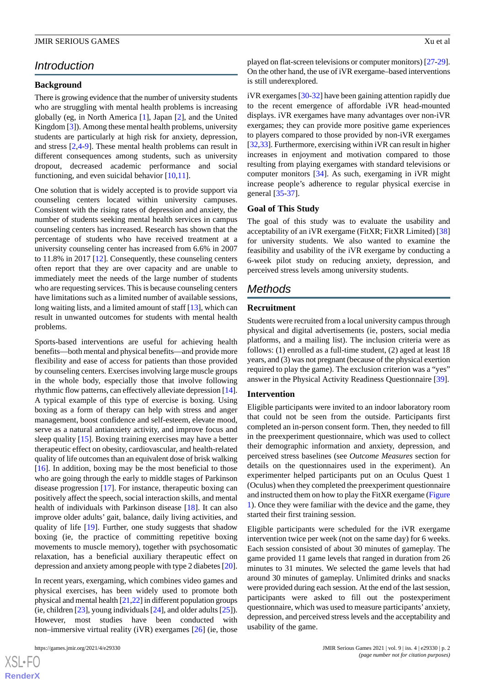# *Introduction*

#### **Background**

There is growing evidence that the number of university students who are struggling with mental health problems is increasing globally (eg, in North America [[1\]](#page-4-0), Japan [[2\]](#page-4-1), and the United Kingdom [\[3](#page-4-2)]). Among these mental health problems, university students are particularly at high risk for anxiety, depression, and stress [\[2](#page-4-1),[4-](#page-5-0)[9](#page-5-1)]. These mental health problems can result in different consequences among students, such as university dropout, decreased academic performance and social functioning, and even suicidal behavior [[10](#page-5-2)[,11](#page-5-3)].

One solution that is widely accepted is to provide support via counseling centers located within university campuses. Consistent with the rising rates of depression and anxiety, the number of students seeking mental health services in campus counseling centers has increased. Research has shown that the percentage of students who have received treatment at a university counseling center has increased from 6.6% in 2007 to 11.8% in 2017 [[12](#page-5-4)]. Consequently, these counseling centers often report that they are over capacity and are unable to immediately meet the needs of the large number of students who are requesting services. This is because counseling centers have limitations such as a limited number of available sessions, long waiting lists, and a limited amount of staff [\[13](#page-5-5)], which can result in unwanted outcomes for students with mental health problems.

Sports-based interventions are useful for achieving health benefits—both mental and physical benefits—and provide more flexibility and ease of access for patients than those provided by counseling centers. Exercises involving large muscle groups in the whole body, especially those that involve following rhythmic flow patterns, can effectively alleviate depression [\[14\]](#page-5-6). A typical example of this type of exercise is boxing. Using boxing as a form of therapy can help with stress and anger management, boost confidence and self-esteem, elevate mood, serve as a natural antianxiety activity, and improve focus and sleep quality [\[15](#page-5-7)]. Boxing training exercises may have a better therapeutic effect on obesity, cardiovascular, and health-related quality of life outcomes than an equivalent dose of brisk walking [[16\]](#page-5-8). In addition, boxing may be the most beneficial to those who are going through the early to middle stages of Parkinson disease progression [[17\]](#page-5-9). For instance, therapeutic boxing can positively affect the speech, social interaction skills, and mental health of individuals with Parkinson disease [[18\]](#page-5-10). It can also improve older adults' gait, balance, daily living activities, and quality of life [\[19](#page-5-11)]. Further, one study suggests that shadow boxing (ie, the practice of committing repetitive boxing movements to muscle memory), together with psychosomatic relaxation, has a beneficial auxiliary therapeutic effect on depression and anxiety among people with type 2 diabetes [[20\]](#page-5-12).

In recent years, exergaming, which combines video games and physical exercises, has been widely used to promote both physical and mental health [\[21](#page-5-13)[,22\]](#page-5-14) in different population groups (ie, children [[23\]](#page-5-15), young individuals [[24\]](#page-5-16), and older adults [[25\]](#page-5-17)). However, most studies have been conducted with non–immersive virtual reality (iVR) exergames [[26\]](#page-5-18) (ie, those

played on flat-screen televisions or computer monitors) [\[27](#page-6-0)[-29](#page-6-1)]. On the other hand, the use of iVR exergame–based interventions is still underexplored.

iVR exergames [[30-](#page-6-2)[32\]](#page-6-3) have been gaining attention rapidly due to the recent emergence of affordable iVR head-mounted displays. iVR exergames have many advantages over non-iVR exergames; they can provide more positive game experiences to players compared to those provided by non-iVR exergames [[32](#page-6-3)[,33](#page-6-4)]. Furthermore, exercising within iVR can result in higher increases in enjoyment and motivation compared to those resulting from playing exergames with standard televisions or computer monitors [[34\]](#page-6-5). As such, exergaming in iVR might increase people's adherence to regular physical exercise in general [[35](#page-6-6)[-37](#page-6-7)].

#### **Goal of This Study**

The goal of this study was to evaluate the usability and acceptability of an iVR exergame (FitXR; FitXR Limited) [\[38](#page-6-8)] for university students. We also wanted to examine the feasibility and usability of the iVR exergame by conducting a 6-week pilot study on reducing anxiety, depression, and perceived stress levels among university students.

# *Methods*

#### **Recruitment**

Students were recruited from a local university campus through physical and digital advertisements (ie, posters, social media platforms, and a mailing list). The inclusion criteria were as follows: (1) enrolled as a full-time student, (2) aged at least 18 years, and (3) was not pregnant (because of the physical exertion required to play the game). The exclusion criterion was a "yes" answer in the Physical Activity Readiness Questionnaire [[39\]](#page-6-9).

#### **Intervention**

Eligible participants were invited to an indoor laboratory room that could not be seen from the outside. Participants first completed an in-person consent form. Then, they needed to fill in the preexperiment questionnaire, which was used to collect their demographic information and anxiety, depression, and perceived stress baselines (see *Outcome Measures* section for details on the questionnaires used in the experiment). An experimenter helped participants put on an Oculus Quest 1 (Oculus) when they completed the preexperiment questionnaire and instructed them on how to play the FitXR exergame ([Figure](#page-2-0) [1\)](#page-2-0). Once they were familiar with the device and the game, they started their first training session.

Eligible participants were scheduled for the iVR exergame intervention twice per week (not on the same day) for 6 weeks. Each session consisted of about 30 minutes of gameplay. The game provided 11 game levels that ranged in duration from 26 minutes to 31 minutes. We selected the game levels that had around 30 minutes of gameplay. Unlimited drinks and snacks were provided during each session. At the end of the last session, participants were asked to fill out the postexperiment questionnaire, which was used to measure participants'anxiety, depression, and perceived stress levels and the acceptability and usability of the game.

```
XS • FO
RenderX
```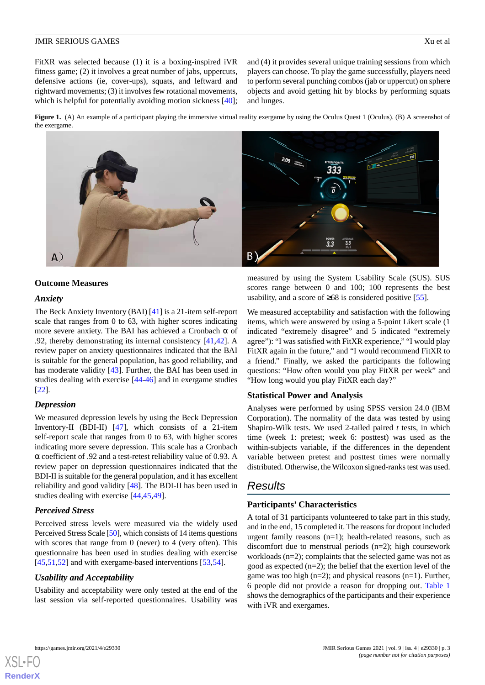FitXR was selected because (1) it is a boxing-inspired iVR fitness game; (2) it involves a great number of jabs, uppercuts, defensive actions (ie, cover-ups), squats, and leftward and rightward movements; (3) it involves few rotational movements, which is helpful for potentially avoiding motion sickness [[40\]](#page-6-10); and (4) it provides several unique training sessions from which players can choose. To play the game successfully, players need to perform several punching combos (jab or uppercut) on sphere objects and avoid getting hit by blocks by performing squats and lunges.

<span id="page-2-0"></span>**Figure 1.** (A) An example of a participant playing the immersive virtual reality exergame by using the Oculus Quest 1 (Oculus). (B) A screenshot of the exergame.



#### **Outcome Measures**

## *Anxiety*

The Beck Anxiety Inventory (BAI) [\[41](#page-6-11)] is a 21-item self-report scale that ranges from 0 to 63, with higher scores indicating more severe anxiety. The BAI has achieved a Cronbach  $\alpha$  of .92, thereby demonstrating its internal consistency [\[41](#page-6-11),[42\]](#page-6-12). A review paper on anxiety questionnaires indicated that the BAI is suitable for the general population, has good reliability, and has moderate validity [[43\]](#page-6-13). Further, the BAI has been used in studies dealing with exercise [[44](#page-6-14)[-46](#page-6-15)] and in exergame studies [[22\]](#page-5-14).

#### *Depression*

We measured depression levels by using the Beck Depression Inventory-II (BDI-II) [[47\]](#page-6-16), which consists of a 21-item self-report scale that ranges from 0 to 63, with higher scores indicating more severe depression. This scale has a Cronbach α coefficient of .92 and a test-retest reliability value of 0.93. A review paper on depression questionnaires indicated that the BDI-II is suitable for the general population, and it has excellent reliability and good validity [[48\]](#page-6-17). The BDI-II has been used in studies dealing with exercise [\[44](#page-6-14),[45](#page-6-18)[,49](#page-6-19)].

#### *Perceived Stress*

Perceived stress levels were measured via the widely used Perceived Stress Scale [\[50\]](#page-7-0), which consists of 14 items questions with scores that range from 0 (never) to 4 (very often). This questionnaire has been used in studies dealing with exercise [[45](#page-6-18)[,51](#page-7-1),[52\]](#page-7-2) and with exergame-based interventions [[53,](#page-7-3)[54](#page-7-4)].

#### *Usability and Acceptability*

Usability and acceptability were only tested at the end of the last session via self-reported questionnaires. Usability was measured by using the System Usability Scale (SUS). SUS scores range between 0 and 100; 100 represents the best usability, and a score of  $\geq 68$  is considered positive [[55\]](#page-7-5).

We measured acceptability and satisfaction with the following items, which were answered by using a 5-point Likert scale (1 indicated "extremely disagree" and 5 indicated "extremely agree"): "I was satisfied with FitXR experience," "I would play FitXR again in the future," and "I would recommend FitXR to a friend." Finally, we asked the participants the following questions: "How often would you play FitXR per week" and "How long would you play FitXR each day?"

#### **Statistical Power and Analysis**

Analyses were performed by using SPSS version 24.0 (IBM Corporation). The normality of the data was tested by using Shapiro-Wilk tests. We used 2-tailed paired *t* tests, in which time (week 1: pretest; week 6: posttest) was used as the within-subjects variable, if the differences in the dependent variable between pretest and posttest times were normally distributed. Otherwise, the Wilcoxon signed-ranks test was used.

# *Results*

#### **Participants' Characteristics**

A total of 31 participants volunteered to take part in this study, and in the end, 15 completed it. The reasons for dropout included urgent family reasons (n=1); health-related reasons, such as discomfort due to menstrual periods (n=2); high coursework workloads (n=2); complaints that the selected game was not as good as expected  $(n=2)$ ; the belief that the exertion level of the game was too high  $(n=2)$ ; and physical reasons  $(n=1)$ . Further, 6 people did not provide a reason for dropping out. [Table 1](#page-3-0) shows the demographics of the participants and their experience with iVR and exergames.

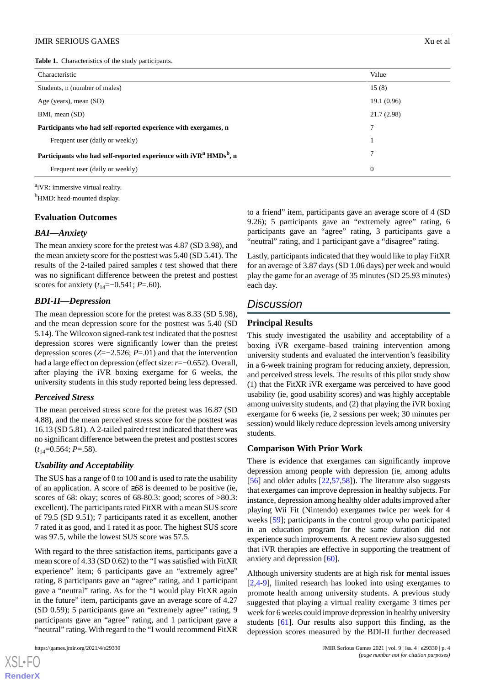<span id="page-3-0"></span>**Table 1.** Characteristics of the study participants.

| Characteristic                                                                            | Value      |
|-------------------------------------------------------------------------------------------|------------|
| Students, n (number of males)                                                             | 15(8)      |
| Age (years), mean (SD)                                                                    | 19.1(0.96) |
| BMI, mean (SD)                                                                            | 21.7(2.98) |
| Participants who had self-reported experience with exergames, n                           | 7          |
| Frequent user (daily or weekly)                                                           |            |
| Participants who had self-reported experience with iVR <sup>a</sup> HMDs <sup>b</sup> , n | 7          |
| Frequent user (daily or weekly)                                                           | $\theta$   |

<sup>a</sup>iVR: immersive virtual reality.

<sup>b</sup>HMD: head-mounted display.

### **Evaluation Outcomes**

### *BAI—Anxiety*

The mean anxiety score for the pretest was 4.87 (SD 3.98), and the mean anxiety score for the posttest was 5.40 (SD 5.41). The results of the 2-tailed paired samples *t* test showed that there was no significant difference between the pretest and posttest scores for anxiety  $(t_{14}=-0.541; P=.60)$ .

# *BDI-II—Depression*

The mean depression score for the pretest was 8.33 (SD 5.98), and the mean depression score for the posttest was 5.40 (SD 5.14). The Wilcoxon signed-rank test indicated that the posttest depression scores were significantly lower than the pretest depression scores (*Z*=−2.526; *P*=.01) and that the intervention had a large effect on depression (effect size: *r*=−0.652). Overall, after playing the iVR boxing exergame for 6 weeks, the university students in this study reported being less depressed.

# *Perceived Stress*

The mean perceived stress score for the pretest was 16.87 (SD 4.88), and the mean perceived stress score for the posttest was 16.13 (SD 5.81). A 2-tailed paired *t*test indicated that there was no significant difference between the pretest and posttest scores  $(t_{14}=0.564; P=.58)$ .

# *Usability and Acceptability*

The SUS has a range of 0 to 100 and is used to rate the usability of an application. A score of ≥68 is deemed to be positive (ie, scores of 68: okay; scores of 68-80.3: good; scores of >80.3: excellent). The participants rated FitXR with a mean SUS score of 79.5 (SD 9.51); 7 participants rated it as excellent, another 7 rated it as good, and 1 rated it as poor. The highest SUS score was 97.5, while the lowest SUS score was 57.5.

With regard to the three satisfaction items, participants gave a mean score of 4.33 (SD 0.62) to the "I was satisfied with FitXR experience" item; 6 participants gave an "extremely agree" rating, 8 participants gave an "agree" rating, and 1 participant gave a "neutral" rating. As for the "I would play FitXR again in the future" item, participants gave an average score of 4.27 (SD 0.59); 5 participants gave an "extremely agree" rating, 9 participants gave an "agree" rating, and 1 participant gave a "neutral" rating. With regard to the "I would recommend FitXR

[XSL](http://www.w3.org/Style/XSL)•FO **[RenderX](http://www.renderx.com/)**

to a friend" item, participants gave an average score of 4 (SD 9.26); 5 participants gave an "extremely agree" rating, 6 participants gave an "agree" rating, 3 participants gave a "neutral" rating, and 1 participant gave a "disagree" rating.

Lastly, participants indicated that they would like to play FitXR for an average of 3.87 days (SD 1.06 days) per week and would play the game for an average of 35 minutes (SD 25.93 minutes) each day.

# *Discussion*

# **Principal Results**

This study investigated the usability and acceptability of a boxing iVR exergame–based training intervention among university students and evaluated the intervention's feasibility in a 6-week training program for reducing anxiety, depression, and perceived stress levels. The results of this pilot study show (1) that the FitXR iVR exergame was perceived to have good usability (ie, good usability scores) and was highly acceptable among university students, and (2) that playing the iVR boxing exergame for 6 weeks (ie, 2 sessions per week; 30 minutes per session) would likely reduce depression levels among university students.

# **Comparison With Prior Work**

There is evidence that exergames can significantly improve depression among people with depression (ie, among adults [[56\]](#page-7-6) and older adults [[22,](#page-5-14)[57](#page-7-7),[58\]](#page-7-8)). The literature also suggests that exergames can improve depression in healthy subjects. For instance, depression among healthy older adults improved after playing Wii Fit (Nintendo) exergames twice per week for 4 weeks [[59\]](#page-7-9); participants in the control group who participated in an education program for the same duration did not experience such improvements. A recent review also suggested that iVR therapies are effective in supporting the treatment of anxiety and depression [\[60](#page-7-10)].

Although university students are at high risk for mental issues [[2](#page-4-1)[,4-](#page-5-0)[9\]](#page-5-1), limited research has looked into using exergames to promote health among university students. A previous study suggested that playing a virtual reality exergame 3 times per week for 6 weeks could improve depression in healthy university students [\[61](#page-7-11)]. Our results also support this finding, as the depression scores measured by the BDI-II further decreased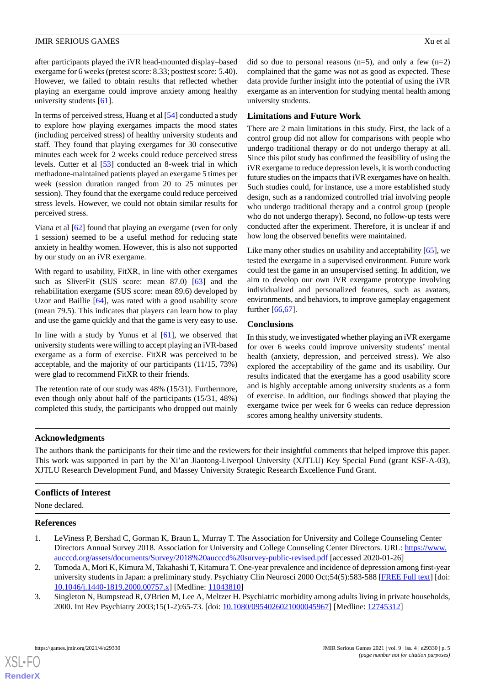after participants played the iVR head-mounted display–based exergame for 6 weeks (pretest score: 8.33; posttest score: 5.40). However, we failed to obtain results that reflected whether playing an exergame could improve anxiety among healthy university students [\[61](#page-7-11)].

In terms of perceived stress, Huang et al [\[54](#page-7-4)] conducted a study to explore how playing exergames impacts the mood states (including perceived stress) of healthy university students and staff. They found that playing exergames for 30 consecutive minutes each week for 2 weeks could reduce perceived stress levels. Cutter et al [\[53](#page-7-3)] conducted an 8-week trial in which methadone-maintained patients played an exergame 5 times per week (session duration ranged from 20 to 25 minutes per session). They found that the exergame could reduce perceived stress levels. However, we could not obtain similar results for perceived stress.

Viana et al [\[62](#page-7-12)] found that playing an exergame (even for only 1 session) seemed to be a useful method for reducing state anxiety in healthy women. However, this is also not supported by our study on an iVR exergame.

With regard to usability, FitXR, in line with other exergames such as SliverFit (SUS score: mean 87.0) [\[63](#page-7-13)] and the rehabilitation exergame (SUS score: mean 89.6) developed by Uzor and Baillie [[64\]](#page-7-14), was rated with a good usability score (mean 79.5). This indicates that players can learn how to play and use the game quickly and that the game is very easy to use.

In line with a study by Yunus et al [\[61](#page-7-11)], we observed that university students were willing to accept playing an iVR-based exergame as a form of exercise. FitXR was perceived to be acceptable, and the majority of our participants (11/15, 73%) were glad to recommend FitXR to their friends.

The retention rate of our study was 48% (15/31). Furthermore, even though only about half of the participants (15/31, 48%) completed this study, the participants who dropped out mainly

did so due to personal reasons  $(n=5)$ , and only a few  $(n=2)$ complained that the game was not as good as expected. These data provide further insight into the potential of using the iVR exergame as an intervention for studying mental health among university students.

# **Limitations and Future Work**

There are 2 main limitations in this study. First, the lack of a control group did not allow for comparisons with people who undergo traditional therapy or do not undergo therapy at all. Since this pilot study has confirmed the feasibility of using the iVR exergame to reduce depression levels, it is worth conducting future studies on the impacts that iVR exergames have on health. Such studies could, for instance, use a more established study design, such as a randomized controlled trial involving people who undergo traditional therapy and a control group (people who do not undergo therapy). Second, no follow-up tests were conducted after the experiment. Therefore, it is unclear if and how long the observed benefits were maintained.

Like many other studies on usability and acceptability [\[65](#page-7-15)], we tested the exergame in a supervised environment. Future work could test the game in an unsupervised setting. In addition, we aim to develop our own iVR exergame prototype involving individualized and personalized features, such as avatars, environments, and behaviors, to improve gameplay engagement further [[66,](#page-7-16)[67](#page-7-17)].

# **Conclusions**

In this study, we investigated whether playing an iVR exergame for over 6 weeks could improve university students' mental health (anxiety, depression, and perceived stress). We also explored the acceptability of the game and its usability. Our results indicated that the exergame has a good usability score and is highly acceptable among university students as a form of exercise. In addition, our findings showed that playing the exergame twice per week for 6 weeks can reduce depression scores among healthy university students.

# **Acknowledgments**

The authors thank the participants for their time and the reviewers for their insightful comments that helped improve this paper. This work was supported in part by the Xi'an Jiaotong-Liverpool University (XJTLU) Key Special Fund (grant KSF-A-03), XJTLU Research Development Fund, and Massey University Strategic Research Excellence Fund Grant.

# <span id="page-4-0"></span>**Conflicts of Interest**

<span id="page-4-1"></span>None declared.

#### **References**

- <span id="page-4-2"></span>1. LeViness P, Bershad C, Gorman K, Braun L, Murray T. The Association for University and College Counseling Center Directors Annual Survey 2018. Association for University and College Counseling Center Directors. URL: [https://www.](https://www.aucccd.org/assets/documents/Survey/2018%20aucccd%20survey-public-revised.pdf) [aucccd.org/assets/documents/Survey/2018%20aucccd%20survey-public-revised.pdf](https://www.aucccd.org/assets/documents/Survey/2018%20aucccd%20survey-public-revised.pdf) [accessed 2020-01-26]
- 2. Tomoda A, Mori K, Kimura M, Takahashi T, Kitamura T. One-year prevalence and incidence of depression among first-year university students in Japan: a preliminary study. Psychiatry Clin Neurosci 2000 Oct;54(5):583-588 [\[FREE Full text](https://onlinelibrary.wiley.com/resolve/openurl?genre=article&sid=nlm:pubmed&issn=1323-1316&date=2000&volume=54&issue=5&spage=583)] [doi: [10.1046/j.1440-1819.2000.00757.x\]](http://dx.doi.org/10.1046/j.1440-1819.2000.00757.x) [Medline: [11043810\]](http://www.ncbi.nlm.nih.gov/entrez/query.fcgi?cmd=Retrieve&db=PubMed&list_uids=11043810&dopt=Abstract)
- 3. Singleton N, Bumpstead R, O'Brien M, Lee A, Meltzer H. Psychiatric morbidity among adults living in private households, 2000. Int Rev Psychiatry 2003;15(1-2):65-73. [doi: [10.1080/0954026021000045967\]](http://dx.doi.org/10.1080/0954026021000045967) [Medline: [12745312\]](http://www.ncbi.nlm.nih.gov/entrez/query.fcgi?cmd=Retrieve&db=PubMed&list_uids=12745312&dopt=Abstract)

[XSL](http://www.w3.org/Style/XSL)•FO **[RenderX](http://www.renderx.com/)**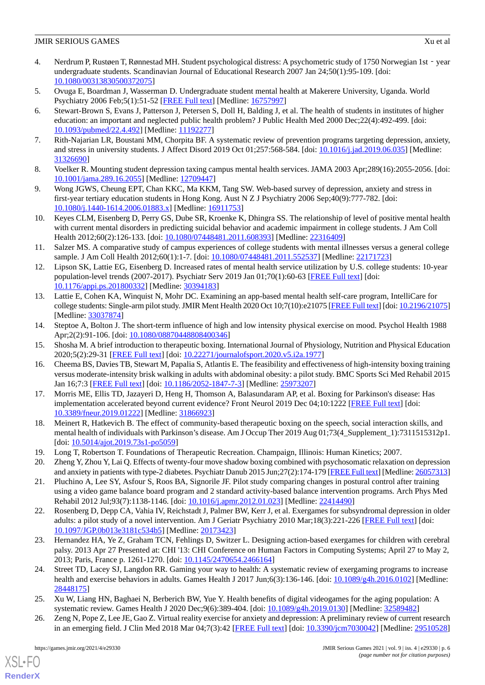- <span id="page-5-0"></span>4. Nerdrum P, Rustøen T, Rønnestad MH. Student psychological distress: A psychometric study of 1750 Norwegian 1st - year undergraduate students. Scandinavian Journal of Educational Research 2007 Jan 24;50(1):95-109. [doi: [10.1080/00313830500372075\]](http://dx.doi.org/10.1080/00313830500372075)
- 5. Ovuga E, Boardman J, Wasserman D. Undergraduate student mental health at Makerere University, Uganda. World Psychiatry 2006 Feb;5(1):51-52 [\[FREE Full text](https://onlinelibrary.wiley.com/resolve/openurl?genre=article&sid=nlm:pubmed&issn=1723-8617&date=2006&volume=5&issue=1&spage=51)] [Medline: [16757997](http://www.ncbi.nlm.nih.gov/entrez/query.fcgi?cmd=Retrieve&db=PubMed&list_uids=16757997&dopt=Abstract)]
- 6. Stewart-Brown S, Evans J, Patterson J, Petersen S, Doll H, Balding J, et al. The health of students in institutes of higher education: an important and neglected public health problem? J Public Health Med 2000 Dec;22(4):492-499. [doi: [10.1093/pubmed/22.4.492\]](http://dx.doi.org/10.1093/pubmed/22.4.492) [Medline: [11192277\]](http://www.ncbi.nlm.nih.gov/entrez/query.fcgi?cmd=Retrieve&db=PubMed&list_uids=11192277&dopt=Abstract)
- 7. Rith-Najarian LR, Boustani MM, Chorpita BF. A systematic review of prevention programs targeting depression, anxiety, and stress in university students. J Affect Disord 2019 Oct 01;257:568-584. [doi: [10.1016/j.jad.2019.06.035](http://dx.doi.org/10.1016/j.jad.2019.06.035)] [Medline: [31326690](http://www.ncbi.nlm.nih.gov/entrez/query.fcgi?cmd=Retrieve&db=PubMed&list_uids=31326690&dopt=Abstract)]
- <span id="page-5-1"></span>8. Voelker R. Mounting student depression taxing campus mental health services. JAMA 2003 Apr;289(16):2055-2056. [doi: [10.1001/jama.289.16.2055\]](http://dx.doi.org/10.1001/jama.289.16.2055) [Medline: [12709447\]](http://www.ncbi.nlm.nih.gov/entrez/query.fcgi?cmd=Retrieve&db=PubMed&list_uids=12709447&dopt=Abstract)
- <span id="page-5-2"></span>9. Wong JGWS, Cheung EPT, Chan KKC, Ma KKM, Tang SW. Web-based survey of depression, anxiety and stress in first-year tertiary education students in Hong Kong. Aust N Z J Psychiatry 2006 Sep;40(9):777-782. [doi: [10.1080/j.1440-1614.2006.01883.x\]](http://dx.doi.org/10.1080/j.1440-1614.2006.01883.x) [Medline: [16911753\]](http://www.ncbi.nlm.nih.gov/entrez/query.fcgi?cmd=Retrieve&db=PubMed&list_uids=16911753&dopt=Abstract)
- <span id="page-5-3"></span>10. Keyes CLM, Eisenberg D, Perry GS, Dube SR, Kroenke K, Dhingra SS. The relationship of level of positive mental health with current mental disorders in predicting suicidal behavior and academic impairment in college students. J Am Coll Health 2012;60(2):126-133. [doi: [10.1080/07448481.2011.608393\]](http://dx.doi.org/10.1080/07448481.2011.608393) [Medline: [22316409\]](http://www.ncbi.nlm.nih.gov/entrez/query.fcgi?cmd=Retrieve&db=PubMed&list_uids=22316409&dopt=Abstract)
- <span id="page-5-4"></span>11. Salzer MS. A comparative study of campus experiences of college students with mental illnesses versus a general college sample. J Am Coll Health 2012;60(1):1-7. [doi: [10.1080/07448481.2011.552537\]](http://dx.doi.org/10.1080/07448481.2011.552537) [Medline: [22171723\]](http://www.ncbi.nlm.nih.gov/entrez/query.fcgi?cmd=Retrieve&db=PubMed&list_uids=22171723&dopt=Abstract)
- <span id="page-5-5"></span>12. Lipson SK, Lattie EG, Eisenberg D. Increased rates of mental health service utilization by U.S. college students: 10-year population-level trends (2007-2017). Psychiatr Serv 2019 Jan 01;70(1):60-63 [\[FREE Full text\]](http://europepmc.org/abstract/MED/30394183) [doi: [10.1176/appi.ps.201800332\]](http://dx.doi.org/10.1176/appi.ps.201800332) [Medline: [30394183\]](http://www.ncbi.nlm.nih.gov/entrez/query.fcgi?cmd=Retrieve&db=PubMed&list_uids=30394183&dopt=Abstract)
- <span id="page-5-6"></span>13. Lattie E, Cohen KA, Winquist N, Mohr DC. Examining an app-based mental health self-care program, IntelliCare for college students: Single-arm pilot study. JMIR Ment Health 2020 Oct 10;7(10):e21075 [[FREE Full text\]](https://mental.jmir.org/2020/10/e21075/) [doi: [10.2196/21075\]](http://dx.doi.org/10.2196/21075) [Medline: [33037874](http://www.ncbi.nlm.nih.gov/entrez/query.fcgi?cmd=Retrieve&db=PubMed&list_uids=33037874&dopt=Abstract)]
- <span id="page-5-8"></span><span id="page-5-7"></span>14. Steptoe A, Bolton J. The short-term influence of high and low intensity physical exercise on mood. Psychol Health 1988 Apr;2(2):91-106. [doi: [10.1080/08870448808400346](http://dx.doi.org/10.1080/08870448808400346)]
- 15. Shosha M. A brief introduction to therapeutic boxing. International Journal of Physiology, Nutrition and Physical Education 2020;5(2):29-31 [[FREE Full text](https://www.journalofsports.com/pdf/2020/vol5issue2/PartA/5-2-19-282.pdf)] [doi: [10.22271/journalofsport.2020.v5.i2a.1977\]](http://dx.doi.org/10.22271/journalofsport.2020.v5.i2a.1977)
- <span id="page-5-9"></span>16. Cheema BS, Davies TB, Stewart M, Papalia S, Atlantis E. The feasibility and effectiveness of high-intensity boxing training versus moderate-intensity brisk walking in adults with abdominal obesity: a pilot study. BMC Sports Sci Med Rehabil 2015 Jan 16;7:3 [[FREE Full text](https://bmcsportsscimedrehabil.biomedcentral.com/articles/10.1186/2052-1847-7-3)] [doi: [10.1186/2052-1847-7-3\]](http://dx.doi.org/10.1186/2052-1847-7-3) [Medline: [25973207](http://www.ncbi.nlm.nih.gov/entrez/query.fcgi?cmd=Retrieve&db=PubMed&list_uids=25973207&dopt=Abstract)]
- <span id="page-5-11"></span><span id="page-5-10"></span>17. Morris ME, Ellis TD, Jazayeri D, Heng H, Thomson A, Balasundaram AP, et al. Boxing for Parkinson's disease: Has implementation accelerated beyond current evidence? Front Neurol 2019 Dec 04;10:1222 [\[FREE Full text\]](https://doi.org/10.3389/fneur.2019.01222) [doi: [10.3389/fneur.2019.01222](http://dx.doi.org/10.3389/fneur.2019.01222)] [Medline: [31866923](http://www.ncbi.nlm.nih.gov/entrez/query.fcgi?cmd=Retrieve&db=PubMed&list_uids=31866923&dopt=Abstract)]
- <span id="page-5-13"></span><span id="page-5-12"></span>18. Meinert R, Hatkevich B. The effect of community-based therapeutic boxing on the speech, social interaction skills, and mental health of individuals with Parkinson's disease. Am J Occup Ther 2019 Aug 01;73(4\_Supplement\_1):7311515312p1. [doi: [10.5014/ajot.2019.73s1-po5059](http://dx.doi.org/10.5014/ajot.2019.73s1-po5059)]
- 19. Long T, Robertson T. Foundations of Therapeutic Recreation. Champaign, Illinois: Human Kinetics; 2007.
- <span id="page-5-14"></span>20. Zheng Y, Zhou Y, Lai Q. Effects of twenty-four move shadow boxing combined with psychosomatic relaxation on depression and anxiety in patients with type-2 diabetes. Psychiatr Danub 2015 Jun;27(2):174-179 [[FREE Full text](http://www.psychiatria-danubina.com/UserDocsImages/pdf/dnb_vol27_no2/dnb_vol27_no2_174.pdf)] [Medline: [26057313\]](http://www.ncbi.nlm.nih.gov/entrez/query.fcgi?cmd=Retrieve&db=PubMed&list_uids=26057313&dopt=Abstract)
- <span id="page-5-15"></span>21. Pluchino A, Lee SY, Asfour S, Roos BA, Signorile JF. Pilot study comparing changes in postural control after training using a video game balance board program and 2 standard activity-based balance intervention programs. Arch Phys Med Rehabil 2012 Jul;93(7):1138-1146. [doi: [10.1016/j.apmr.2012.01.023](http://dx.doi.org/10.1016/j.apmr.2012.01.023)] [Medline: [22414490](http://www.ncbi.nlm.nih.gov/entrez/query.fcgi?cmd=Retrieve&db=PubMed&list_uids=22414490&dopt=Abstract)]
- <span id="page-5-16"></span>22. Rosenberg D, Depp CA, Vahia IV, Reichstadt J, Palmer BW, Kerr J, et al. Exergames for subsyndromal depression in older adults: a pilot study of a novel intervention. Am J Geriatr Psychiatry 2010 Mar;18(3):221-226 [[FREE Full text](http://europepmc.org/abstract/MED/20173423)] [doi: [10.1097/JGP.0b013e3181c534b5\]](http://dx.doi.org/10.1097/JGP.0b013e3181c534b5) [Medline: [20173423](http://www.ncbi.nlm.nih.gov/entrez/query.fcgi?cmd=Retrieve&db=PubMed&list_uids=20173423&dopt=Abstract)]
- <span id="page-5-17"></span>23. Hernandez HA, Ye Z, Graham TCN, Fehlings D, Switzer L. Designing action-based exergames for children with cerebral palsy. 2013 Apr 27 Presented at: CHI '13: CHI Conference on Human Factors in Computing Systems; April 27 to May 2, 2013; Paris, France p. 1261-1270. [doi: [10.1145/2470654.2466164\]](http://dx.doi.org/10.1145/2470654.2466164)
- <span id="page-5-18"></span>24. Street TD, Lacey SJ, Langdon RR. Gaming your way to health: A systematic review of exergaming programs to increase health and exercise behaviors in adults. Games Health J 2017 Jun;6(3):136-146. [doi: [10.1089/g4h.2016.0102](http://dx.doi.org/10.1089/g4h.2016.0102)] [Medline: [28448175](http://www.ncbi.nlm.nih.gov/entrez/query.fcgi?cmd=Retrieve&db=PubMed&list_uids=28448175&dopt=Abstract)]
- 25. Xu W, Liang HN, Baghaei N, Berberich BW, Yue Y. Health benefits of digital videogames for the aging population: A systematic review. Games Health J 2020 Dec;9(6):389-404. [doi: [10.1089/g4h.2019.0130\]](http://dx.doi.org/10.1089/g4h.2019.0130) [Medline: [32589482\]](http://www.ncbi.nlm.nih.gov/entrez/query.fcgi?cmd=Retrieve&db=PubMed&list_uids=32589482&dopt=Abstract)
- 26. Zeng N, Pope Z, Lee JE, Gao Z. Virtual reality exercise for anxiety and depression: A preliminary review of current research in an emerging field. J Clin Med 2018 Mar 04;7(3):42 [[FREE Full text](https://www.mdpi.com/resolver?pii=jcm7030042)] [doi: [10.3390/jcm7030042\]](http://dx.doi.org/10.3390/jcm7030042) [Medline: [29510528](http://www.ncbi.nlm.nih.gov/entrez/query.fcgi?cmd=Retrieve&db=PubMed&list_uids=29510528&dopt=Abstract)]

[XSL](http://www.w3.org/Style/XSL)•FO **[RenderX](http://www.renderx.com/)**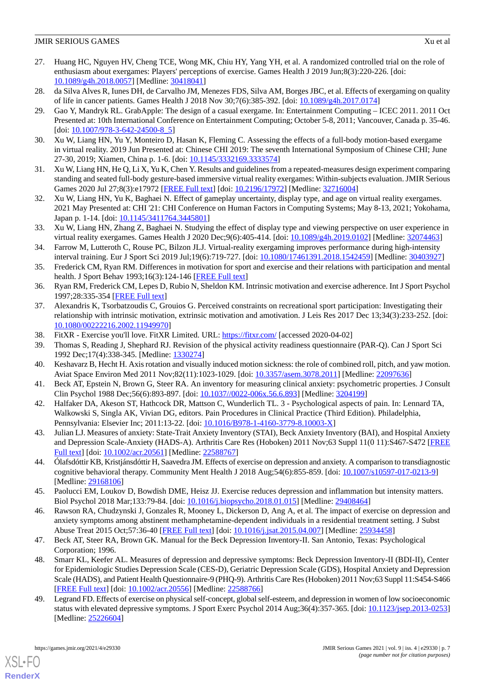- <span id="page-6-0"></span>27. Huang HC, Nguyen HV, Cheng TCE, Wong MK, Chiu HY, Yang YH, et al. A randomized controlled trial on the role of enthusiasm about exergames: Players' perceptions of exercise. Games Health J 2019 Jun;8(3):220-226. [doi: [10.1089/g4h.2018.0057\]](http://dx.doi.org/10.1089/g4h.2018.0057) [Medline: [30418041\]](http://www.ncbi.nlm.nih.gov/entrez/query.fcgi?cmd=Retrieve&db=PubMed&list_uids=30418041&dopt=Abstract)
- <span id="page-6-1"></span>28. da Silva Alves R, Iunes DH, de Carvalho JM, Menezes FDS, Silva AM, Borges JBC, et al. Effects of exergaming on quality of life in cancer patients. Games Health J 2018 Nov 30;7(6):385-392. [doi: [10.1089/g4h.2017.0174](http://dx.doi.org/10.1089/g4h.2017.0174)]
- 29. Gao Y, Mandryk RL. GrabApple: The design of a casual exergame. In: Entertainment Computing ICEC 2011. 2011 Oct Presented at: 10th International Conference on Entertainment Computing; October 5-8, 2011; Vancouver, Canada p. 35-46. [doi: [10.1007/978-3-642-24500-8\\_5\]](http://dx.doi.org/10.1007/978-3-642-24500-8_5)
- <span id="page-6-2"></span>30. Xu W, Liang HN, Yu Y, Monteiro D, Hasan K, Fleming C. Assessing the effects of a full-body motion-based exergame in virtual reality. 2019 Jun Presented at: Chinese CHI 2019: The seventh International Symposium of Chinese CHI; June 27-30, 2019; Xiamen, China p. 1-6. [doi: [10.1145/3332169.3333574\]](http://dx.doi.org/10.1145/3332169.3333574)
- <span id="page-6-3"></span>31. Xu W, Liang HN, He Q, Li X, Yu K, Chen Y. Results and guidelines from a repeated-measures design experiment comparing standing and seated full-body gesture-based immersive virtual reality exergames: Within-subjects evaluation. JMIR Serious Games 2020 Jul 27;8(3):e17972 [[FREE Full text](https://games.jmir.org/2020/3/e17972/)] [doi: [10.2196/17972\]](http://dx.doi.org/10.2196/17972) [Medline: [32716004\]](http://www.ncbi.nlm.nih.gov/entrez/query.fcgi?cmd=Retrieve&db=PubMed&list_uids=32716004&dopt=Abstract)
- <span id="page-6-4"></span>32. Xu W, Liang HN, Yu K, Baghaei N. Effect of gameplay uncertainty, display type, and age on virtual reality exergames. 2021 May Presented at: CHI '21: CHI Conference on Human Factors in Computing Systems; May 8-13, 2021; Yokohama, Japan p. 1-14. [doi: [10.1145/3411764.3445801](http://dx.doi.org/10.1145/3411764.3445801)]
- <span id="page-6-5"></span>33. Xu W, Liang HN, Zhang Z, Baghaei N. Studying the effect of display type and viewing perspective on user experience in virtual reality exergames. Games Health J 2020 Dec;9(6):405-414. [doi: [10.1089/g4h.2019.0102](http://dx.doi.org/10.1089/g4h.2019.0102)] [Medline: [32074463\]](http://www.ncbi.nlm.nih.gov/entrez/query.fcgi?cmd=Retrieve&db=PubMed&list_uids=32074463&dopt=Abstract)
- <span id="page-6-6"></span>34. Farrow M, Lutteroth C, Rouse PC, Bilzon JLJ. Virtual-reality exergaming improves performance during high-intensity interval training. Eur J Sport Sci 2019 Jul;19(6):719-727. [doi: [10.1080/17461391.2018.1542459\]](http://dx.doi.org/10.1080/17461391.2018.1542459) [Medline: [30403927](http://www.ncbi.nlm.nih.gov/entrez/query.fcgi?cmd=Retrieve&db=PubMed&list_uids=30403927&dopt=Abstract)]
- <span id="page-6-7"></span>35. Frederick CM, Ryan RM. Differences in motivation for sport and exercise and their relations with participation and mental health. J Sport Behav 1993;16(3):124-146 [[FREE Full text](http://selfdeterminationtheory.org/SDT/documents/1993_FrederickRyan_Differencesinmotivation.pdf)]
- 36. Ryan RM, Frederick CM, Lepes D, Rubio N, Sheldon KM. Intrinsic motivation and exercise adherence. Int J Sport Psychol 1997;28:335-354 [\[FREE Full text\]](https://selfdeterminationtheory.org/SDT/documents/1997_RyanFrederickLepesRubioSheldon.pdf)
- <span id="page-6-9"></span><span id="page-6-8"></span>37. Alexandris K, Tsorbatzoudis C, Grouios G. Perceived constraints on recreational sport participation: Investigating their relationship with intrinsic motivation, extrinsic motivation and amotivation. J Leis Res 2017 Dec 13;34(3):233-252. [doi: [10.1080/00222216.2002.11949970\]](http://dx.doi.org/10.1080/00222216.2002.11949970)
- <span id="page-6-10"></span>38. FitXR - Exercise you'll love. FitXR Limited. URL: <https://fitxr.com/> [accessed 2020-04-02]
- <span id="page-6-11"></span>39. Thomas S, Reading J, Shephard RJ. Revision of the physical activity readiness questionnaire (PAR-Q). Can J Sport Sci 1992 Dec;17(4):338-345. [Medline: [1330274\]](http://www.ncbi.nlm.nih.gov/entrez/query.fcgi?cmd=Retrieve&db=PubMed&list_uids=1330274&dopt=Abstract)
- <span id="page-6-12"></span>40. Keshavarz B, Hecht H. Axis rotation and visually induced motion sickness: the role of combined roll, pitch, and yaw motion. Aviat Space Environ Med 2011 Nov;82(11):1023-1029. [doi: [10.3357/asem.3078.2011](http://dx.doi.org/10.3357/asem.3078.2011)] [Medline: [22097636](http://www.ncbi.nlm.nih.gov/entrez/query.fcgi?cmd=Retrieve&db=PubMed&list_uids=22097636&dopt=Abstract)]
- <span id="page-6-13"></span>41. Beck AT, Epstein N, Brown G, Steer RA. An inventory for measuring clinical anxiety: psychometric properties. J Consult Clin Psychol 1988 Dec;56(6):893-897. [doi: [10.1037//0022-006x.56.6.893\]](http://dx.doi.org/10.1037//0022-006x.56.6.893) [Medline: [3204199\]](http://www.ncbi.nlm.nih.gov/entrez/query.fcgi?cmd=Retrieve&db=PubMed&list_uids=3204199&dopt=Abstract)
- <span id="page-6-14"></span>42. Halfaker DA, Akeson ST, Hathcock DR, Mattson C, Wunderlich TL. 3 - Psychological aspects of pain. In: Lennard TA, Walkowski S, Singla AK, Vivian DG, editors. Pain Procedures in Clinical Practice (Third Edition). Philadelphia, Pennsylvania: Elsevier Inc; 2011:13-22. [doi: [10.1016/B978-1-4160-3779-8.10003-X\]](http://dx.doi.org/10.1016/B978-1-4160-3779-8.10003-X)
- <span id="page-6-18"></span>43. Julian LJ. Measures of anxiety: State-Trait Anxiety Inventory (STAI), Beck Anxiety Inventory (BAI), and Hospital Anxiety and Depression Scale-Anxiety (HADS-A). Arthritis Care Res (Hoboken) 2011 Nov;63 Suppl 11(0 11):S467-S472 [\[FREE](https://doi.org/10.1002/acr.20561) [Full text\]](https://doi.org/10.1002/acr.20561) [doi: [10.1002/acr.20561\]](http://dx.doi.org/10.1002/acr.20561) [Medline: [22588767](http://www.ncbi.nlm.nih.gov/entrez/query.fcgi?cmd=Retrieve&db=PubMed&list_uids=22588767&dopt=Abstract)]
- <span id="page-6-15"></span>44. Ólafsdóttir KB, Kristjánsdóttir H, Saavedra JM. Effects of exercise on depression and anxiety. A comparison to transdiagnostic cognitive behavioral therapy. Community Ment Health J 2018 Aug;54(6):855-859. [doi: [10.1007/s10597-017-0213-9\]](http://dx.doi.org/10.1007/s10597-017-0213-9) [Medline: [29168106](http://www.ncbi.nlm.nih.gov/entrez/query.fcgi?cmd=Retrieve&db=PubMed&list_uids=29168106&dopt=Abstract)]
- <span id="page-6-16"></span>45. Paolucci EM, Loukov D, Bowdish DME, Heisz JJ. Exercise reduces depression and inflammation but intensity matters. Biol Psychol 2018 Mar;133:79-84. [doi: [10.1016/j.biopsycho.2018.01.015](http://dx.doi.org/10.1016/j.biopsycho.2018.01.015)] [Medline: [29408464\]](http://www.ncbi.nlm.nih.gov/entrez/query.fcgi?cmd=Retrieve&db=PubMed&list_uids=29408464&dopt=Abstract)
- <span id="page-6-17"></span>46. Rawson RA, Chudzynski J, Gonzales R, Mooney L, Dickerson D, Ang A, et al. The impact of exercise on depression and anxiety symptoms among abstinent methamphetamine-dependent individuals in a residential treatment setting. J Subst Abuse Treat 2015 Oct;57:36-40 [\[FREE Full text\]](http://europepmc.org/abstract/MED/25934458) [doi: [10.1016/j.jsat.2015.04.007\]](http://dx.doi.org/10.1016/j.jsat.2015.04.007) [Medline: [25934458\]](http://www.ncbi.nlm.nih.gov/entrez/query.fcgi?cmd=Retrieve&db=PubMed&list_uids=25934458&dopt=Abstract)
- <span id="page-6-19"></span>47. Beck AT, Steer RA, Brown GK. Manual for the Beck Depression Inventory-II. San Antonio, Texas: Psychological Corporation; 1996.
- 48. Smarr KL, Keefer AL. Measures of depression and depressive symptoms: Beck Depression Inventory-II (BDI-II), Center for Epidemiologic Studies Depression Scale (CES-D), Geriatric Depression Scale (GDS), Hospital Anxiety and Depression Scale (HADS), and Patient Health Questionnaire-9 (PHQ-9). Arthritis Care Res (Hoboken) 2011 Nov;63 Suppl 11:S454-S466 [[FREE Full text](https://doi.org/10.1002/acr.20556)] [doi: [10.1002/acr.20556\]](http://dx.doi.org/10.1002/acr.20556) [Medline: [22588766\]](http://www.ncbi.nlm.nih.gov/entrez/query.fcgi?cmd=Retrieve&db=PubMed&list_uids=22588766&dopt=Abstract)
- 49. Legrand FD. Effects of exercise on physical self-concept, global self-esteem, and depression in women of low socioeconomic status with elevated depressive symptoms. J Sport Exerc Psychol 2014 Aug;36(4):357-365. [doi: [10.1123/jsep.2013-0253](http://dx.doi.org/10.1123/jsep.2013-0253)] [Medline: [25226604](http://www.ncbi.nlm.nih.gov/entrez/query.fcgi?cmd=Retrieve&db=PubMed&list_uids=25226604&dopt=Abstract)]

[XSL](http://www.w3.org/Style/XSL)•FO **[RenderX](http://www.renderx.com/)**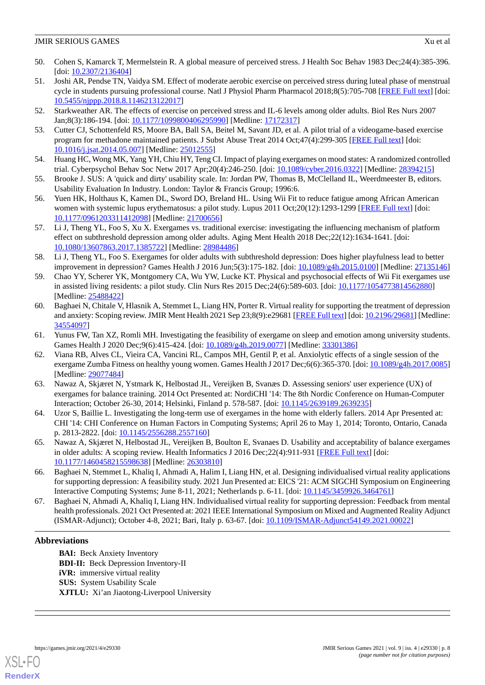- <span id="page-7-0"></span>50. Cohen S, Kamarck T, Mermelstein R. A global measure of perceived stress. J Health Soc Behav 1983 Dec;24(4):385-396. [doi: [10.2307/2136404](http://dx.doi.org/10.2307/2136404)]
- <span id="page-7-1"></span>51. Joshi AR, Pendse TN, Vaidya SM. Effect of moderate aerobic exercise on perceived stress during luteal phase of menstrual cycle in students pursuing professional course. Natl J Physiol Pharm Pharmacol 2018;8(5):705-708 [[FREE Full text](https://www.ejmanager.com/mnstemps/28/28-1511943472.pdf?t=1636993781)] [doi: [10.5455/njppp.2018.8.1146213122017](http://dx.doi.org/10.5455/njppp.2018.8.1146213122017)]
- <span id="page-7-3"></span><span id="page-7-2"></span>52. Starkweather AR. The effects of exercise on perceived stress and IL-6 levels among older adults. Biol Res Nurs 2007 Jan;8(3):186-194. [doi: [10.1177/1099800406295990](http://dx.doi.org/10.1177/1099800406295990)] [Medline: [17172317\]](http://www.ncbi.nlm.nih.gov/entrez/query.fcgi?cmd=Retrieve&db=PubMed&list_uids=17172317&dopt=Abstract)
- <span id="page-7-4"></span>53. Cutter CJ, Schottenfeld RS, Moore BA, Ball SA, Beitel M, Savant JD, et al. A pilot trial of a videogame-based exercise program for methadone maintained patients. J Subst Abuse Treat 2014 Oct;47(4):299-305 [\[FREE Full text](http://europepmc.org/abstract/MED/25012555)] [doi: [10.1016/j.jsat.2014.05.007\]](http://dx.doi.org/10.1016/j.jsat.2014.05.007) [Medline: [25012555](http://www.ncbi.nlm.nih.gov/entrez/query.fcgi?cmd=Retrieve&db=PubMed&list_uids=25012555&dopt=Abstract)]
- <span id="page-7-5"></span>54. Huang HC, Wong MK, Yang YH, Chiu HY, Teng CI. Impact of playing exergames on mood states: A randomized controlled trial. Cyberpsychol Behav Soc Netw 2017 Apr;20(4):246-250. [doi: [10.1089/cyber.2016.0322\]](http://dx.doi.org/10.1089/cyber.2016.0322) [Medline: [28394215\]](http://www.ncbi.nlm.nih.gov/entrez/query.fcgi?cmd=Retrieve&db=PubMed&list_uids=28394215&dopt=Abstract)
- <span id="page-7-6"></span>55. Brooke J. SUS: A 'quick and dirty' usability scale. In: Jordan PW, Thomas B, McClelland IL, Weerdmeester B, editors. Usability Evaluation In Industry. London: Taylor & Francis Group; 1996:6.
- <span id="page-7-7"></span>56. Yuen HK, Holthaus K, Kamen DL, Sword DO, Breland HL. Using Wii Fit to reduce fatigue among African American women with systemic lupus erythematosus: a pilot study. Lupus 2011 Oct;20(12):1293-1299 [[FREE Full text](http://europepmc.org/abstract/MED/21700656)] [doi: [10.1177/0961203311412098\]](http://dx.doi.org/10.1177/0961203311412098) [Medline: [21700656\]](http://www.ncbi.nlm.nih.gov/entrez/query.fcgi?cmd=Retrieve&db=PubMed&list_uids=21700656&dopt=Abstract)
- <span id="page-7-8"></span>57. Li J, Theng YL, Foo S, Xu X. Exergames vs. traditional exercise: investigating the influencing mechanism of platform effect on subthreshold depression among older adults. Aging Ment Health 2018 Dec;22(12):1634-1641. [doi: [10.1080/13607863.2017.1385722\]](http://dx.doi.org/10.1080/13607863.2017.1385722) [Medline: [28984486\]](http://www.ncbi.nlm.nih.gov/entrez/query.fcgi?cmd=Retrieve&db=PubMed&list_uids=28984486&dopt=Abstract)
- <span id="page-7-9"></span>58. Li J, Theng YL, Foo S. Exergames for older adults with subthreshold depression: Does higher playfulness lead to better improvement in depression? Games Health J 2016 Jun;5(3):175-182. [doi: [10.1089/g4h.2015.0100\]](http://dx.doi.org/10.1089/g4h.2015.0100) [Medline: [27135146](http://www.ncbi.nlm.nih.gov/entrez/query.fcgi?cmd=Retrieve&db=PubMed&list_uids=27135146&dopt=Abstract)]
- <span id="page-7-10"></span>59. Chao YY, Scherer YK, Montgomery CA, Wu YW, Lucke KT. Physical and psychosocial effects of Wii Fit exergames use in assisted living residents: a pilot study. Clin Nurs Res 2015 Dec;24(6):589-603. [doi: [10.1177/1054773814562880\]](http://dx.doi.org/10.1177/1054773814562880) [Medline: [25488422](http://www.ncbi.nlm.nih.gov/entrez/query.fcgi?cmd=Retrieve&db=PubMed&list_uids=25488422&dopt=Abstract)]
- <span id="page-7-12"></span><span id="page-7-11"></span>60. Baghaei N, Chitale V, Hlasnik A, Stemmet L, Liang HN, Porter R. Virtual reality for supporting the treatment of depression and anxiety: Scoping review. JMIR Ment Health 2021 Sep 23;8(9):e29681 [\[FREE Full text](https://mental.jmir.org/2021/9/e29681/)] [doi: [10.2196/29681](http://dx.doi.org/10.2196/29681)] [Medline: [34554097](http://www.ncbi.nlm.nih.gov/entrez/query.fcgi?cmd=Retrieve&db=PubMed&list_uids=34554097&dopt=Abstract)]
- 61. Yunus FW, Tan XZ, Romli MH. Investigating the feasibility of exergame on sleep and emotion among university students. Games Health J 2020 Dec;9(6):415-424. [doi: [10.1089/g4h.2019.0077](http://dx.doi.org/10.1089/g4h.2019.0077)] [Medline: [33301386\]](http://www.ncbi.nlm.nih.gov/entrez/query.fcgi?cmd=Retrieve&db=PubMed&list_uids=33301386&dopt=Abstract)
- <span id="page-7-13"></span>62. Viana RB, Alves CL, Vieira CA, Vancini RL, Campos MH, Gentil P, et al. Anxiolytic effects of a single session of the exergame Zumba Fitness on healthy young women. Games Health J 2017 Dec;6(6):365-370. [doi: [10.1089/g4h.2017.0085](http://dx.doi.org/10.1089/g4h.2017.0085)] [Medline: [29077484](http://www.ncbi.nlm.nih.gov/entrez/query.fcgi?cmd=Retrieve&db=PubMed&list_uids=29077484&dopt=Abstract)]
- <span id="page-7-15"></span><span id="page-7-14"></span>63. Nawaz A, Skjæret N, Ystmark K, Helbostad JL, Vereijken B, Svanæs D. Assessing seniors' user experience (UX) of exergames for balance training. 2014 Oct Presented at: NordiCHI '14: The 8th Nordic Conference on Human-Computer Interaction; October 26-30, 2014; Helsinki, Finland p. 578-587. [doi: [10.1145/2639189.2639235\]](http://dx.doi.org/10.1145/2639189.2639235)
- <span id="page-7-16"></span>64. Uzor S, Baillie L. Investigating the long-term use of exergames in the home with elderly fallers. 2014 Apr Presented at: CHI '14: CHI Conference on Human Factors in Computing Systems; April 26 to May 1, 2014; Toronto, Ontario, Canada p. 2813-2822. [doi: [10.1145/2556288.2557160](http://dx.doi.org/10.1145/2556288.2557160)]
- <span id="page-7-17"></span>65. Nawaz A, Skjæret N, Helbostad JL, Vereijken B, Boulton E, Svanaes D. Usability and acceptability of balance exergames in older adults: A scoping review. Health Informatics J 2016 Dec; 22(4): 911-931 [\[FREE Full text\]](https://journals.sagepub.com/doi/10.1177/1460458215598638?url_ver=Z39.88-2003&rfr_id=ori:rid:crossref.org&rfr_dat=cr_pub%3dpubmed) [doi: [10.1177/1460458215598638\]](http://dx.doi.org/10.1177/1460458215598638) [Medline: [26303810\]](http://www.ncbi.nlm.nih.gov/entrez/query.fcgi?cmd=Retrieve&db=PubMed&list_uids=26303810&dopt=Abstract)
- 66. Baghaei N, Stemmet L, Khaliq I, Ahmadi A, Halim I, Liang HN, et al. Designing individualised virtual reality applications for supporting depression: A feasibility study. 2021 Jun Presented at: EICS '21: ACM SIGCHI Symposium on Engineering Interactive Computing Systems; June 8-11, 2021; Netherlands p. 6-11. [doi: [10.1145/3459926.3464761](http://dx.doi.org/10.1145/3459926.3464761)]
- 67. Baghaei N, Ahmadi A, Khaliq I, Liang HN. Individualised virtual reality for supporting depression: Feedback from mental health professionals. 2021 Oct Presented at: 2021 IEEE International Symposium on Mixed and Augmented Reality Adjunct (ISMAR-Adjunct); October 4-8, 2021; Bari, Italy p. 63-67. [doi: [10.1109/ISMAR-Adjunct54149.2021.00022](http://dx.doi.org/10.1109/ISMAR-Adjunct54149.2021.00022)]

# **Abbreviations**

**BAI:** Beck Anxiety Inventory **BDI-II:** Beck Depression Inventory-II **iVR:** immersive virtual reality **SUS:** System Usability Scale **XJTLU:** Xi'an Jiaotong-Liverpool University